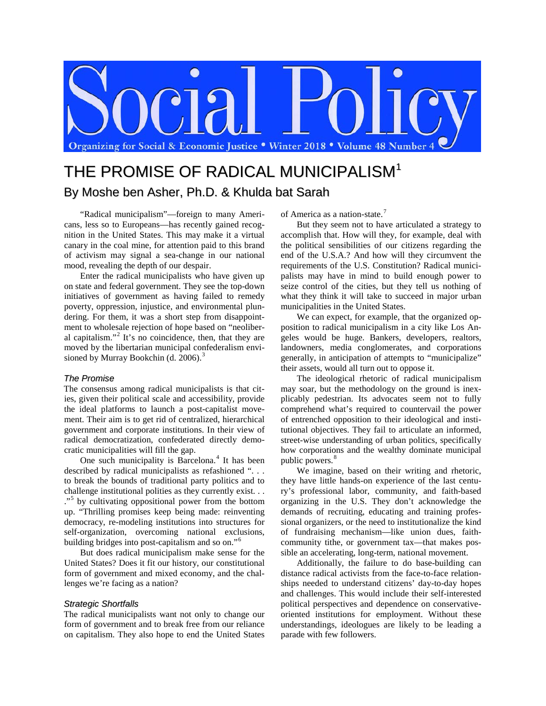

# THE PROMISE OF RADICAL MUNICIPALISM<sup>1</sup> By Moshe ben Asher, Ph.D. & Khulda bat Sarah

"Radical municipalism"—foreign to many Americans, less so to Europeans—has recently gained recognition in the United States. This may make it a virtual canary in the coal mine, for attention paid to this brand of activism may signal a sea-change in our national mood, revealing the depth of our despair.

Enter the radical municipalists who have given up on state and federal government. They see the top-down initiatives of government as having failed to remedy poverty, oppression, injustice, and environmental plundering. For them, it was a short step from disappointment to wholesale rejection of hope based on "neoliberal capitalism."[2](#page-4-1) It's no coincidence, then, that they are moved by the libertarian municipal confederalism envi-sioned by Murray Bookchin (d. 2006).<sup>[3](#page-4-2)</sup>

### *The Promise*

The consensus among radical municipalists is that cities, given their political scale and accessibility, provide the ideal platforms to launch a post-capitalist movement. Their aim is to get rid of centralized, hierarchical government and corporate institutions. In their view of radical democratization, confederated directly democratic municipalities will fill the gap.

One such municipality is Barcelona.<sup>[4](#page-4-3)</sup> It has been described by radical municipalists as refashioned ". . . to break the bounds of traditional party politics and to challenge institutional polities as they currently exist. . . ."<sup>[5](#page-4-4)</sup> by cultivating oppositional power from the bottom up. "Thrilling promises keep being made: reinventing democracy, re-modeling institutions into structures for self-organization, overcoming national exclusions, building bridges into post-capitalism and so on."[6](#page-4-5)

But does radical municipalism make sense for the United States? Does it fit our history, our constitutional form of government and mixed economy, and the challenges we're facing as a nation?

# *Strategic Shortfalls*

The radical municipalists want not only to change our form of government and to break free from our reliance on capitalism. They also hope to end the United States of America as a nation-state.[7](#page-4-6)

But they seem not to have articulated a strategy to accomplish that. How will they, for example, deal with the political sensibilities of our citizens regarding the end of the U.S.A.? And how will they circumvent the requirements of the U.S. Constitution? Radical municipalists may have in mind to build enough power to seize control of the cities, but they tell us nothing of what they think it will take to succeed in major urban municipalities in the United States.

We can expect, for example, that the organized opposition to radical municipalism in a city like Los Angeles would be huge. Bankers, developers, realtors, landowners, media conglomerates, and corporations generally, in anticipation of attempts to "municipalize" their assets, would all turn out to oppose it.

The ideological rhetoric of radical municipalism may soar, but the methodology on the ground is inexplicably pedestrian. Its advocates seem not to fully comprehend what's required to countervail the power of entrenched opposition to their ideological and institutional objectives. They fail to articulate an informed, street-wise understanding of urban politics, specifically how corporations and the wealthy dominate municipal public powers.<sup>[8](#page-4-7)</sup>

We imagine, based on their writing and rhetoric, they have little hands-on experience of the last century's professional labor, community, and faith-based organizing in the U.S. They don't acknowledge the demands of recruiting, educating and training professional organizers, or the need to institutionalize the kind of fundraising mechanism—like union dues, faithcommunity tithe, or government tax—that makes possible an accelerating, long-term, national movement.

Additionally, the failure to do base-building can distance radical activists from the face-to-face relationships needed to understand citizens' day-to-day hopes and challenges. This would include their self-interested political perspectives and dependence on conservativeoriented institutions for employment. Without these understandings, ideologues are likely to be leading a parade with few followers.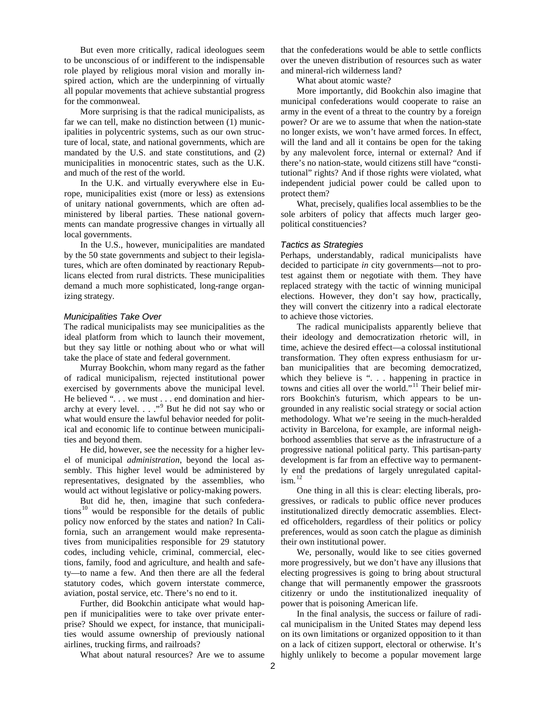But even more critically, radical ideologues seem to be unconscious of or indifferent to the indispensable role played by religious moral vision and morally inspired action, which are the underpinning of virtually all popular movements that achieve substantial progress for the commonweal.

More surprising is that the radical municipalists, as far we can tell, make no distinction between (1) municipalities in polycentric systems, such as our own structure of local, state, and national governments, which are mandated by the U.S. and state constitutions, and (2) municipalities in monocentric states, such as the U.K. and much of the rest of the world.

In the U.K. and virtually everywhere else in Europe, municipalities exist (more or less) as extensions of unitary national governments, which are often administered by liberal parties. These national governments can mandate progressive changes in virtually all local governments.

In the U.S., however, municipalities are mandated by the 50 state governments and subject to their legislatures, which are often dominated by reactionary Republicans elected from rural districts. These municipalities demand a much more sophisticated, long-range organizing strategy.

#### *Municipalities Take Over*

The radical municipalists may see municipalities as the ideal platform from which to launch their movement, but they say little or nothing about who or what will take the place of state and federal government.

Murray Bookchin, whom many regard as the father of radical municipalism, rejected institutional power exercised by governments above the municipal level. He believed ". . . we must . . . end domination and hierarchy at every level.  $\ldots$ ."<sup>[9](#page-4-8)</sup> But he did not say who or what would ensure the lawful behavior needed for political and economic life to continue between municipalities and beyond them.

He did, however, see the necessity for a higher level of municipal *administration*, beyond the local assembly. This higher level would be administered by representatives, designated by the assemblies, who would act without legislative or policy-making powers.

But did he, then, imagine that such confedera-tions<sup>[10](#page-4-9)</sup> would be responsible for the details of public policy now enforced by the states and nation? In California, such an arrangement would make representatives from municipalities responsible for 29 statutory codes, including vehicle, criminal, commercial, elections, family, food and agriculture, and health and safety—to name a few. And then there are all the federal statutory codes, which govern interstate commerce, aviation, postal service, etc. There's no end to it.

Further, did Bookchin anticipate what would happen if municipalities were to take over private enterprise? Should we expect, for instance, that municipalities would assume ownership of previously national airlines, trucking firms, and railroads?

What about natural resources? Are we to assume

that the confederations would be able to settle conflicts over the uneven distribution of resources such as water and mineral-rich wilderness land?

What about atomic waste?

More importantly, did Bookchin also imagine that municipal confederations would cooperate to raise an army in the event of a threat to the country by a foreign power? Or are we to assume that when the nation-state no longer exists, we won't have armed forces. In effect, will the land and all it contains be open for the taking by any malevolent force, internal or external? And if there's no nation-state, would citizens still have "constitutional" rights? And if those rights were violated, what independent judicial power could be called upon to protect them?

What, precisely, qualifies local assemblies to be the sole arbiters of policy that affects much larger geopolitical constituencies?

#### *Tactics as Strategies*

Perhaps, understandably, radical municipalists have decided to participate *in* city governments—not to protest against them or negotiate with them. They have replaced strategy with the tactic of winning municipal elections. However, they don't say how, practically, they will convert the citizenry into a radical electorate to achieve those victories.

The radical municipalists apparently believe that their ideology and democratization rhetoric will, in time, achieve the desired effect—a colossal institutional transformation. They often express enthusiasm for urban municipalities that are becoming democratized, which they believe is ". . . happening in practice in towns and cities all over the world."<sup>[11](#page-4-10)</sup> Their belief mirrors Bookchin's futurism, which appears to be ungrounded in any realistic social strategy or social action methodology. What we're seeing in the much-heralded activity in Barcelona, for example, are informal neighborhood assemblies that serve as the infrastructure of a progressive national political party. This partisan-party development is far from an effective way to permanently end the predations of largely unregulated capital- $\lim^{12}$  $\lim^{12}$  $\lim^{12}$ 

One thing in all this is clear: electing liberals, progressives, or radicals to public office never produces institutionalized directly democratic assemblies. Elected officeholders, regardless of their politics or policy preferences, would as soon catch the plague as diminish their own institutional power.

We, personally, would like to see cities governed more progressively, but we don't have any illusions that electing progressives is going to bring about structural change that will permanently empower the grassroots citizenry or undo the institutionalized inequality of power that is poisoning American life.

In the final analysis, the success or failure of radical municipalism in the United States may depend less on its own limitations or organized opposition to it than on a lack of citizen support, electoral or otherwise. It's highly unlikely to become a popular movement large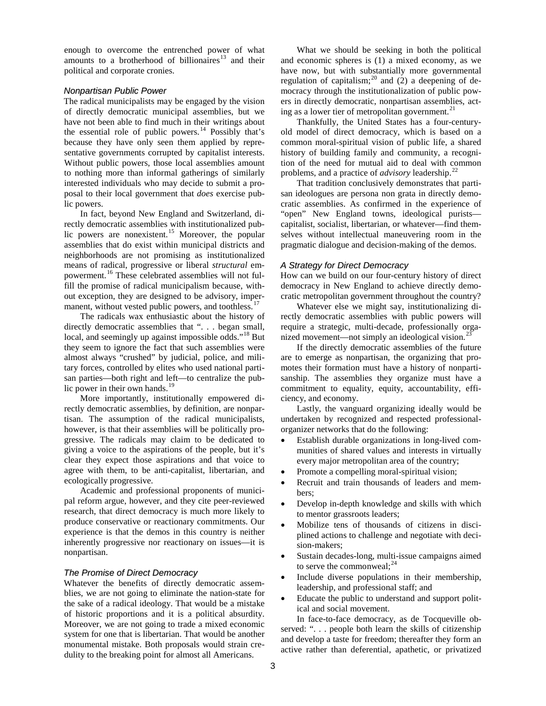enough to overcome the entrenched power of what amounts to a brotherhood of billionaires<sup>[13](#page-4-12)</sup> and their political and corporate cronies.

# *Nonpartisan Public Power*

The radical municipalists may be engaged by the vision of directly democratic municipal assemblies, but we have not been able to find much in their writings about the essential role of public powers.<sup>[14](#page-4-13)</sup> Possibly that's because they have only seen them applied by representative governments corrupted by capitalist interests. Without public powers, those local assemblies amount to nothing more than informal gatherings of similarly interested individuals who may decide to submit a proposal to their local government that *does* exercise public powers.

In fact, beyond New England and Switzerland, directly democratic assemblies with institutionalized pub-lic powers are nonexistent.<sup>[15](#page-4-14)</sup> Moreover, the popular assemblies that do exist within municipal districts and neighborhoods are not promising as institutionalized means of radical, progressive or liberal *structural* empowerment. [16](#page-4-15) These celebrated assemblies will not fulfill the promise of radical municipalism because, without exception, they are designed to be advisory, imper-manent, without vested public powers, and toothless.<sup>[17](#page-4-16)</sup>

The radicals wax enthusiastic about the history of directly democratic assemblies that ". . . began small, local, and seemingly up against impossible odds."<sup>[18](#page-4-17)</sup> But they seem to ignore the fact that such assemblies were almost always "crushed" by judicial, police, and military forces, controlled by elites who used national partisan parties—both right and left—to centralize the public power in their own hands. $19$ 

More importantly, institutionally empowered directly democratic assemblies, by definition, are nonpartisan. The assumption of the radical municipalists, however, is that their assemblies will be politically progressive. The radicals may claim to be dedicated to giving a voice to the aspirations of the people, but it's clear they expect those aspirations and that voice to agree with them, to be anti-capitalist, libertarian, and ecologically progressive.

Academic and professional proponents of municipal reform argue, however, and they cite peer-reviewed research, that direct democracy is much more likely to produce conservative or reactionary commitments. Our experience is that the demos in this country is neither inherently progressive nor reactionary on issues—it is nonpartisan.

#### *The Promise of Direct Democracy*

Whatever the benefits of directly democratic assemblies, we are not going to eliminate the nation-state for the sake of a radical ideology. That would be a mistake of historic proportions and it is a political absurdity. Moreover, we are not going to trade a mixed economic system for one that is libertarian. That would be another monumental mistake. Both proposals would strain credulity to the breaking point for almost all Americans.

What we should be seeking in both the political and economic spheres is (1) a mixed economy, as we have now, but with substantially more governmental regulation of capitalism;<sup>[20](#page-4-19)</sup> and  $(2)$  a deepening of democracy through the institutionalization of public powers in directly democratic, nonpartisan assemblies, acting as a lower tier of metropolitan government. $^{21}$  $^{21}$  $^{21}$ 

Thankfully, the United States has a four-centuryold model of direct democracy, which is based on a common moral-spiritual vision of public life, a shared history of building family and community, a recognition of the need for mutual aid to deal with common problems, and a practice of *advisory* leadership.[22](#page-4-21)

That tradition conclusively demonstrates that partisan ideologues are persona non grata in directly democratic assemblies. As confirmed in the experience of "open" New England towns, ideological purists capitalist, socialist, libertarian, or whatever—find themselves without intellectual maneuvering room in the pragmatic dialogue and decision-making of the demos.

#### *A Strategy for Direct Democracy*

How can we build on our four-century history of direct democracy in New England to achieve directly democratic metropolitan government throughout the country?

Whatever else we might say, institutionalizing directly democratic assemblies with public powers will require a strategic, multi-decade, professionally organized movement—not simply an ideological vision.<sup>2</sup>

If the directly democratic assemblies of the future are to emerge as nonpartisan, the organizing that promotes their formation must have a history of nonpartisanship. The assemblies they organize must have a commitment to equality, equity, accountability, efficiency, and economy.

Lastly, the vanguard organizing ideally would be undertaken by recognized and respected professionalorganizer networks that do the following:

- Establish durable organizations in long-lived communities of shared values and interests in virtually every major metropolitan area of the country;
- Promote a compelling moral-spiritual vision;
- Recruit and train thousands of leaders and members;
- Develop in-depth knowledge and skills with which to mentor grassroots leaders;
- Mobilize tens of thousands of citizens in disciplined actions to challenge and negotiate with decision-makers;
- Sustain decades-long, multi-issue campaigns aimed to serve the commonweal; $^{24}$  $^{24}$  $^{24}$
- Include diverse populations in their membership, leadership, and professional staff; and
- Educate the public to understand and support political and social movement.

In face-to-face democracy, as de Tocqueville observed: ". . . people both learn the skills of citizenship and develop a taste for freedom; thereafter they form an active rather than deferential, apathetic, or privatized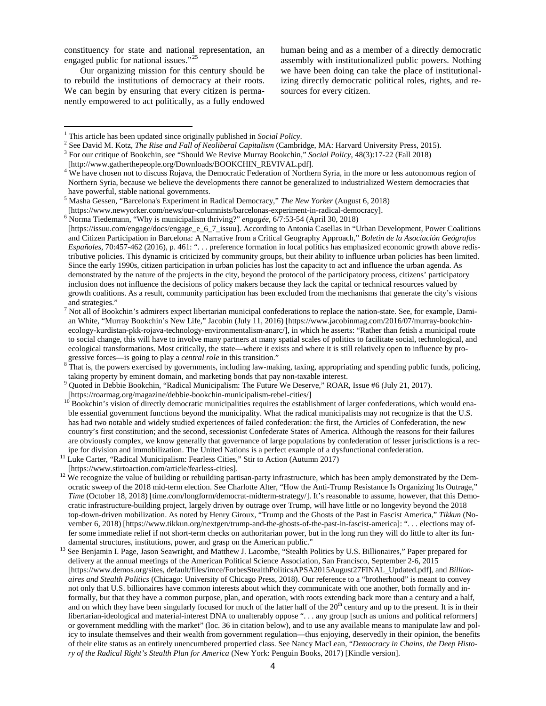constituency for state and national representation, an engaged public for national issues."<sup>[25](#page-4-24)</sup>

Our organizing mission for this century should be to rebuild the institutions of democracy at their roots. We can begin by ensuring that every citizen is permanently empowered to act politically, as a fully endowed

 $\overline{a}$ 

human being and as a member of a directly democratic assembly with institutionalized public powers. Nothing we have been doing can take the place of institutionalizing directly democratic political roles, rights, and resources for every citizen.

<sup>6</sup> Norma Tiedemann, "Why is municipalism thriving?" *engagée*, 6/7:53-54 (April 30, 2018)

[https://issuu.com/engage/docs/engage\_e\_6\_7\_issuu]. According to Antonia Casellas in "Urban Development, Power Coalitions and Citizen Participation in Barcelona: A Narrative from a Critical Geography Approach," *Boletin de la Asociación Geógrafos Españoles*, 70:457-462 (2016), p. 461: ". . . preference formation in local politics has emphasized economic growth above redistributive policies. This dynamic is criticized by community groups, but their ability to influence urban policies has been limited. Since the early 1990s, citizen participation in urban policies has lost the capacity to act and influence the urban agenda. As demonstrated by the nature of the projects in the city, beyond the protocol of the participatory process, citizens' participatory inclusion does not influence the decisions of policy makers because they lack the capital or technical resources valued by growth coalitions. As a result, community participation has been excluded from the mechanisms that generate the city's visions and strategies."

<sup>8</sup> That is, the powers exercised by governments, including law-making, taxing, appropriating and spending public funds, policing, taking property by eminent domain, and marketing bonds that pay non-taxable interest.<br>9 Quoted in Debbie Bookchin, "Radical Municipalism: The Future We Deserve," ROAR, Issue #6 (July 21, 2017).

<sup>&</sup>lt;sup>1</sup> This article has been updated since originally published in *Social Policy*.<br>
<sup>2</sup> See David M. Kotz, *The Rise and Fall of Neoliberal Capitalism* (Cambridge, MA: Harvard University Press, 2015).<br>
<sup>3</sup> For our critique

 $4\overline{W}$  have chosen not to discuss Rojava, the Democratic Federation of Northern Syria, in the more or less autonomous region of Northern Syria, because we believe the developments there cannot be generalized to industrialized Western democracies that have powerful, stable national governments.<br><sup>5</sup> Masha Gessen, "Barcelona's Experiment in Radical Democracy," *The New Yorker* (August 6, 2018)<br>[https://www.newyorker.com/news/our-columnists/barcelonas-experiment-in-radical

<sup>&</sup>lt;sup>7</sup> Not all of Bookchin's admirers expect libertarian municipal confederations to replace the nation-state. See, for example, Damian White, "Murray Bookchin's New Life," Jacobin (July 11, 2016) [https://www.jacobinmag.com/2016/07/murray-bookchinecology-kurdistan-pkk-rojava-technology-environmentalism-anarc/], in which he asserts: "Rather than fetish a municipal route to social change, this will have to involve many partners at many spatial scales of politics to facilitate social, technological, and ecological transformations. Most critically, the state—where it exists and where it is still relatively open to influence by pro-<br>gressive forces—is going to play a *central role* in this transition."

<sup>[</sup>https://roarmag.org/magazine/debbie-bookchin-municipalism-rebel-cities/]<br><sup>10</sup> Bookchin's vision of directly democratic municipalities requires the establishment of larger confederations, which would enable essential government functions beyond the municipality. What the radical municipalists may not recognize is that the U.S. has had two notable and widely studied experiences of failed confederation: the first, the Articles of Confederation, the new country's first constitution; and the second, secessionist Confederate States of America. Although the reasons for their failures are obviously complex, we know generally that governance of large populations by confederation of lesser jurisdictions is a rec-<br>ipe for division and immobilization. The United Nations is a perfect example of a dysfunction

<sup>&</sup>lt;sup>11</sup> Luke Carter, "Radical Municipalism: Fearless Cities," Stir to Action (Autumn 2017)

<sup>[</sup>https://www.stirtoaction.com/article/fearless-cities]. <sup>12</sup> We recognize the value of building or rebuilding partisan-party infrastructure, which has been amply demonstrated by the Democratic sweep of the 2018 mid-term election. See Charlotte Alter, "How the Anti-Trump Resistance Is Organizing Its Outrage," *Time* (October 18, 2018) [time.com/longform/democrat-midterm-strategy/]. It's reasonable to assume, however, that this Democratic infrastructure-building project, largely driven by outrage over Trump, will have little or no longevity beyond the 2018 top-down-driven mobilization. As noted by Henry Giroux, "Trump and the Ghosts of the Past in Fascist America," *Tikkun* (November 6, 2018) [https://www.tikkun.org/nextgen/trump-and-the-ghosts-of-the-past-in-fascist-america]: ". . . elections may offer some immediate relief if not short-term checks on authoritarian power, but in the long run they will do little to alter its fundamental structures, institutions, power, and grasp on the American public."<br><sup>13</sup> See Benjamin I. Page, Jason Seawright, and Matthew J. Lacombe, "Stealth Politics by U.S. Billionaires," Paper prepared for

delivery at the annual meetings of the American Political Science Association, San Francisco, September 2-6, 2015 [https://www.demos.org/sites, default/files/imce/ForbesStealthPoliticsAPSA2015August27FINAL\_Updated.pdf], and *Billionaires and Stealth Politics* (Chicago: University of Chicago Press, 2018). Our reference to a "brotherhood" is meant to convey not only that U.S. billionaires have common interests about which they communicate with one another, both formally and informally, but that they have a common purpose, plan, and operation, with roots extending back more than a century and a half, and on which they have been singularly focused for much of the latter half of the 20<sup>th</sup> century and up to the present. It is in their libertarian-ideological and material-interest DNA to unalterably oppose ". . . any group [such as unions and political reformers] or government meddling with the market" (loc. 36 in citation below), and to use any available means to manipulate law and policy to insulate themselves and their wealth from government regulation—thus enjoying, deservedly in their opinion, the benefits of their elite status as an entirely unencumbered propertied class. See Nancy MacLean, "*Democracy in Chains, the Deep History of the Radical Right's Stealth Plan for America* (New York: Penguin Books, 2017) [Kindle version].